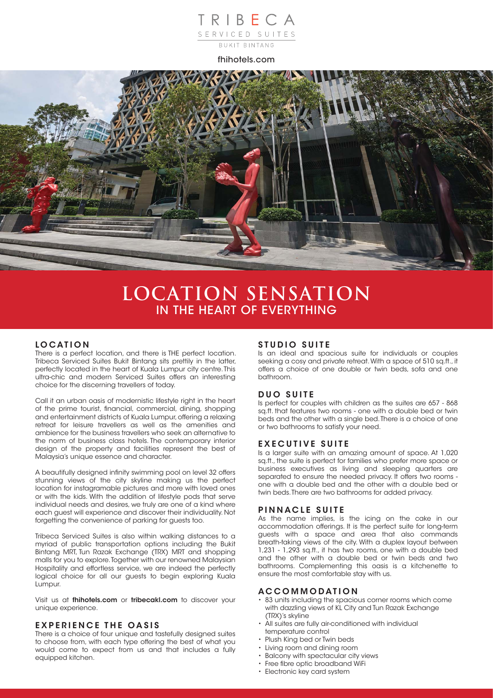# TRIBECA SERVICED SUITES

fhihotels.com



# **LOCATION SENSATION** IN THE HEART OF EVERYTHING

#### **LOCATION**

There is a perfect location, and there is THE perfect location. Tribeca Serviced Suites Bukit Bintang sits prettily in the latter, perfectly located in the heart of Kuala Lumpur city centre. This ultra-chic and modern Serviced Suites offers an interesting choice for the discerning travellers of today.

Call it an urban oasis of modernistic lifestyle right in the heart of the prime tourist, financial, commercial, dining, shopping and entertainment districts of Kuala Lumpur, offering a relaxing retreat for leisure travellers as well as the amenities and ambience for the business travellers who seek an alternative to the norm of business class hotels. The contemporary interior design of the property and facilities represent the best of Malaysia's unique essence and character.

A beautifully designed infinity swimming pool on level 32 offers stunning views of the city skyline making us the perfect location for instagramable pictures and more with loved ones or with the kids. With the addition of lifestyle pods that serve individual needs and desires, we truly are one of a kind where each guest will experience and discover their individuality. Not forgetting the convenience of parking for guests too.

Tribeca Serviced Suites is also within walking distances to a myriad of public transportation options including the Bukit Bintang MRT, Tun Razak Exchange (TRX) MRT and shopping malls for you to explore. Together with our renowned Malaysian Hospitality and effortless service, we are indeed the perfectly logical choice for all our guests to begin exploring Kuala Lumpur.

Visit us at **fhihotels.com** or **tribecakl.com** to discover your unique experience.

#### **EXPERIENCE THE OASIS**

There is a choice of four unique and tastefully designed suites to choose from, with each type offering the best of what you would come to expect from us and that includes a fully equipped kitchen.

## **STUDIO SUITE**

Is an ideal and spacious suite for individuals or couples seeking a cosy and private retreat. With a space of 510 sq.ft., it offers a choice of one double or twin beds, sofa and one bathroom.

## **DUO SUITE**

Is perfect for couples with children as the suites are 657 - 868 sq.ft. that features two rooms - one with a double bed or twin beds and the other with a single bed. There is a choice of one or two bathrooms to satisfy your need.

#### **EXECUTIVE SUITE**

Is a larger suite with an amazing amount of space. At 1,020 sq.ft., the suite is perfect for families who prefer more space or business executives as living and sleeping quarters are separated to ensure the needed privacy. It offers two rooms one with a double bed and the other with a double bed or twin beds. There are two bathrooms for added privacy.

#### **PINNACLE SUITE**

As the name implies, is the icing on the cake in our accommodation offerings. It is the perfect suite for long-term guests with a space and area that also commands breath-taking views of the city. With a duplex layout between 1,231 - 1,293 sq.ft., it has two rooms, one with a double bed and the other with a double bed or twin beds and two bathrooms. Complementing this oasis is a kitchenette to ensure the most comfortable stay with us.

#### **ACCOMMODATION**

- 83 units including the spacious corner rooms which come with dazzling views of KL City and Tun Razak Exchange (TRX)'s skyline
- All suites are fully air-conditioned with individual temperature control
- Plush King bed or Twin beds
- Living room and dining room
- Balcony with spectacular city views
- Free fibre optic broadband WiFi
- Electronic key card system